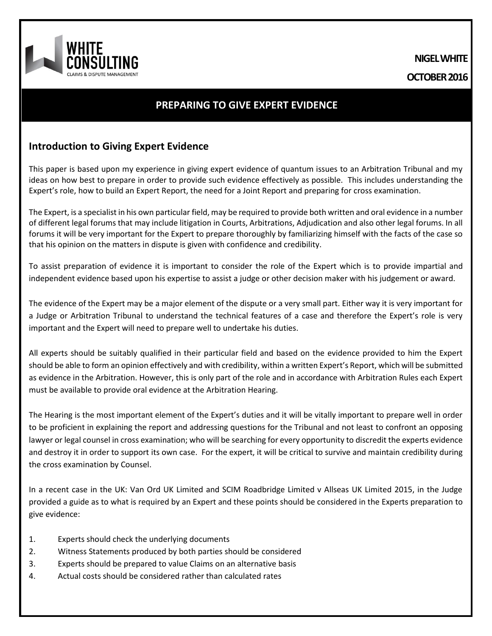**NIGEL WHITE OCTOBER2016**

# **PREPARING TO GIVE EXPERT EVIDENCE**

## **Introduction to Giving Expert Evidence**

This paper is based upon my experience in giving expert evidence of quantum issues to an Arbitration Tribunal and my ideas on how best to prepare in order to provide such evidence effectively as possible. This includes understanding the Expert's role, how to build an Expert Report, the need for a Joint Report and preparing for cross examination.

The Expert, is a specialist in his own particular field, may be required to provide both written and oral evidence in a number of different legal forums that may include litigation in Courts, Arbitrations, Adjudication and also other legal forums. In all forums it will be very important for the Expert to prepare thoroughly by familiarizing himself with the facts of the case so that his opinion on the matters in dispute is given with confidence and credibility.

To assist preparation of evidence it is important to consider the role of the Expert which is to provide impartial and independent evidence based upon his expertise to assist a judge or other decision maker with his judgement or award.

The evidence of the Expert may be a major element of the dispute or a very small part. Either way it is very important for a Judge or Arbitration Tribunal to understand the technical features of a case and therefore the Expert's role is very important and the Expert will need to prepare well to undertake his duties.

All experts should be suitably qualified in their particular field and based on the evidence provided to him the Expert should be able to form an opinion effectively and with credibility, within a written Expert's Report, which will be submitted as evidence in the Arbitration. However, this is only part of the role and in accordance with Arbitration Rules each Expert must be available to provide oral evidence at the Arbitration Hearing.

The Hearing is the most important element of the Expert's duties and it will be vitally important to prepare well in order to be proficient in explaining the report and addressing questions for the Tribunal and not least to confront an opposing lawyer or legal counsel in cross examination; who will be searching for every opportunity to discredit the experts evidence and destroy it in order to support its own case. For the expert, it will be critical to survive and maintain credibility during the cross examination by Counsel.

In a recent case in the UK: Van Ord UK Limited and SCIM Roadbridge Limited v Allseas UK Limited 2015, in the Judge provided a guide as to what is required by an Expert and these points should be considered in the Experts preparation to give evidence:

- 1. Experts should check the underlying documents
- 2. Witness Statements produced by both parties should be considered
- 3. Experts should be prepared to value Claims on an alternative basis
- 4. Actual costs should be considered rather than calculated rates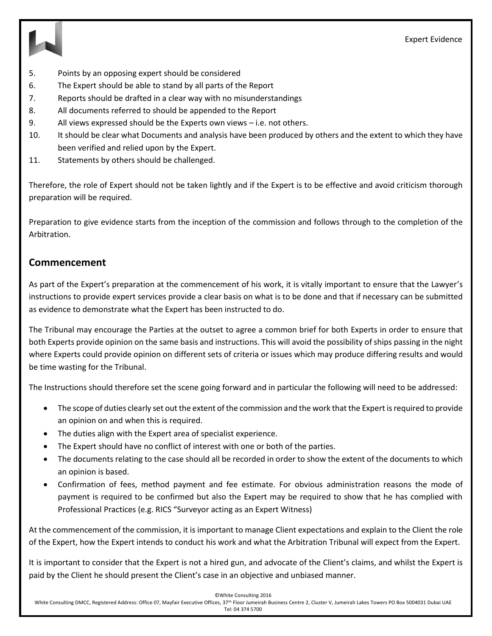



- 5. Points by an opposing expert should be considered
- 6. The Expert should be able to stand by all parts of the Report
- 7. Reports should be drafted in a clear way with no misunderstandings
- 8. All documents referred to should be appended to the Report
- 9. All views expressed should be the Experts own views i.e. not others.
- 10. It should be clear what Documents and analysis have been produced by others and the extent to which they have been verified and relied upon by the Expert.
- 11. Statements by others should be challenged.

Therefore, the role of Expert should not be taken lightly and if the Expert is to be effective and avoid criticism thorough preparation will be required.

Preparation to give evidence starts from the inception of the commission and follows through to the completion of the Arbitration.

### **Commencement**

As part of the Expert's preparation at the commencement of his work, it is vitally important to ensure that the Lawyer's instructions to provide expert services provide a clear basis on what is to be done and that if necessary can be submitted as evidence to demonstrate what the Expert has been instructed to do.

The Tribunal may encourage the Parties at the outset to agree a common brief for both Experts in order to ensure that both Experts provide opinion on the same basis and instructions. This will avoid the possibility of ships passing in the night where Experts could provide opinion on different sets of criteria or issues which may produce differing results and would be time wasting for the Tribunal.

The Instructions should therefore set the scene going forward and in particular the following will need to be addressed:

- The scope of duties clearly set out the extent of the commission and the work that the Expert is required to provide an opinion on and when this is required.
- The duties align with the Expert area of specialist experience.
- The Expert should have no conflict of interest with one or both of the parties.
- The documents relating to the case should all be recorded in order to show the extent of the documents to which an opinion is based.
- Confirmation of fees, method payment and fee estimate. For obvious administration reasons the mode of payment is required to be confirmed but also the Expert may be required to show that he has complied with Professional Practices (e.g. RICS "Surveyor acting as an Expert Witness)

At the commencement of the commission, it is important to manage Client expectations and explain to the Client the role of the Expert, how the Expert intends to conduct his work and what the Arbitration Tribunal will expect from the Expert.

It is important to consider that the Expert is not a hired gun, and advocate of the Client's claims, and whilst the Expert is paid by the Client he should present the Client's case in an objective and unbiased manner.

©White Consulting 2016

White Consulting DMCC, Registered Address: Office 07, Mayfair Executive Offices, 37<sup>th</sup> Floor Jumeirah Business Centre 2, Cluster V, Jumeirah Lakes Towers PO Box 5004031 Dubai UAE Tel: 04 374 5700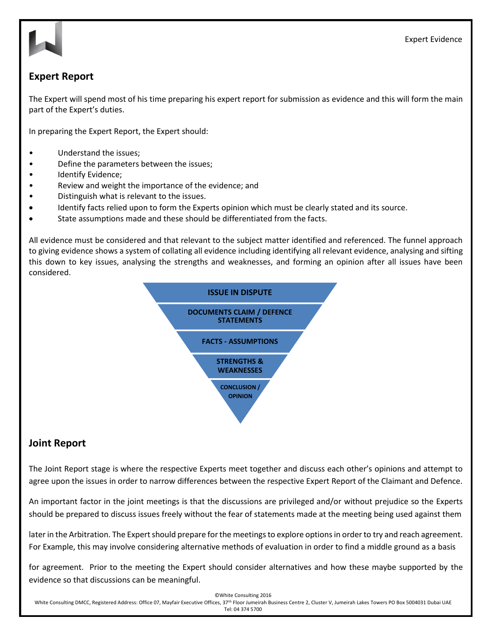Expert Evidence



## **Expert Report**

The Expert will spend most of his time preparing his expert report for submission as evidence and this will form the main part of the Expert's duties.

In preparing the Expert Report, the Expert should:

- Understand the issues;
- Define the parameters between the issues;
- Identify Evidence;
- Review and weight the importance of the evidence; and
- Distinguish what is relevant to the issues.
- Identify facts relied upon to form the Experts opinion which must be clearly stated and its source.
- State assumptions made and these should be differentiated from the facts.

All evidence must be considered and that relevant to the subject matter identified and referenced. The funnel approach to giving evidence shows a system of collating all evidence including identifying all relevant evidence, analysing and sifting this down to key issues, analysing the strengths and weaknesses, and forming an opinion after all issues have been considered.



### **Joint Report**

The Joint Report stage is where the respective Experts meet together and discuss each other's opinions and attempt to agree upon the issues in order to narrow differences between the respective Expert Report of the Claimant and Defence.

An important factor in the joint meetings is that the discussions are privileged and/or without prejudice so the Experts should be prepared to discuss issues freely without the fear of statements made at the meeting being used against them

later in the Arbitration. The Expert should prepare for the meetings to explore options in order to try and reach agreement. For Example, this may involve considering alternative methods of evaluation in order to find a middle ground as a basis

for agreement. Prior to the meeting the Expert should consider alternatives and how these maybe supported by the evidence so that discussions can be meaningful.

©White Consulting 2016

White Consulting DMCC, Registered Address: Office 07, Mayfair Executive Offices, 37<sup>th</sup> Floor Jumeirah Business Centre 2, Cluster V, Jumeirah Lakes Towers PO Box 5004031 Dubai UAE Tel: 04 374 5700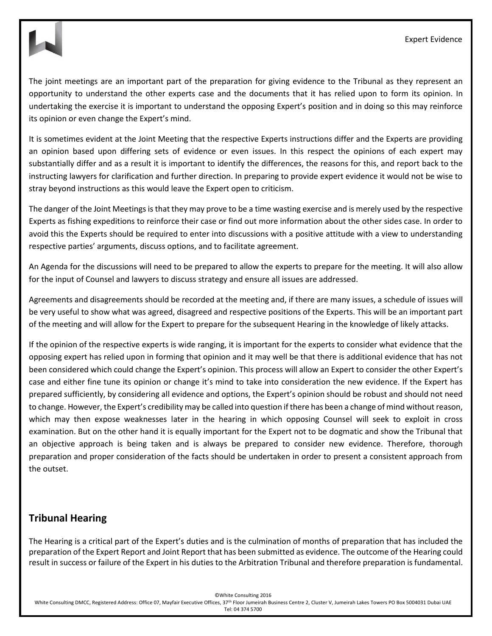The joint meetings are an important part of the preparation for giving evidence to the Tribunal as they represent an opportunity to understand the other experts case and the documents that it has relied upon to form its opinion. In undertaking the exercise it is important to understand the opposing Expert's position and in doing so this may reinforce its opinion or even change the Expert's mind.

It is sometimes evident at the Joint Meeting that the respective Experts instructions differ and the Experts are providing an opinion based upon differing sets of evidence or even issues. In this respect the opinions of each expert may substantially differ and as a result it is important to identify the differences, the reasons for this, and report back to the instructing lawyers for clarification and further direction. In preparing to provide expert evidence it would not be wise to stray beyond instructions as this would leave the Expert open to criticism.

The danger of the Joint Meetings is that they may prove to be a time wasting exercise and is merely used by the respective Experts as fishing expeditions to reinforce their case or find out more information about the other sides case. In order to avoid this the Experts should be required to enter into discussions with a positive attitude with a view to understanding respective parties' arguments, discuss options, and to facilitate agreement.

An Agenda for the discussions will need to be prepared to allow the experts to prepare for the meeting. It will also allow for the input of Counsel and lawyers to discuss strategy and ensure all issues are addressed.

Agreements and disagreements should be recorded at the meeting and, if there are many issues, a schedule of issues will be very useful to show what was agreed, disagreed and respective positions of the Experts. This will be an important part of the meeting and will allow for the Expert to prepare for the subsequent Hearing in the knowledge of likely attacks.

If the opinion of the respective experts is wide ranging, it is important for the experts to consider what evidence that the opposing expert has relied upon in forming that opinion and it may well be that there is additional evidence that has not been considered which could change the Expert's opinion. This process will allow an Expert to consider the other Expert's case and either fine tune its opinion or change it's mind to take into consideration the new evidence. If the Expert has prepared sufficiently, by considering all evidence and options, the Expert's opinion should be robust and should not need to change. However, the Expert's credibility may be called into question if there has been a change of mind without reason, which may then expose weaknesses later in the hearing in which opposing Counsel will seek to exploit in cross examination. But on the other hand it is equally important for the Expert not to be dogmatic and show the Tribunal that an objective approach is being taken and is always be prepared to consider new evidence. Therefore, thorough preparation and proper consideration of the facts should be undertaken in order to present a consistent approach from the outset.

# **Tribunal Hearing**

The Hearing is a critical part of the Expert's duties and is the culmination of months of preparation that has included the preparation of the Expert Report and Joint Report that has been submitted as evidence. The outcome of the Hearing could result in success or failure of the Expert in his duties to the Arbitration Tribunal and therefore preparation is fundamental.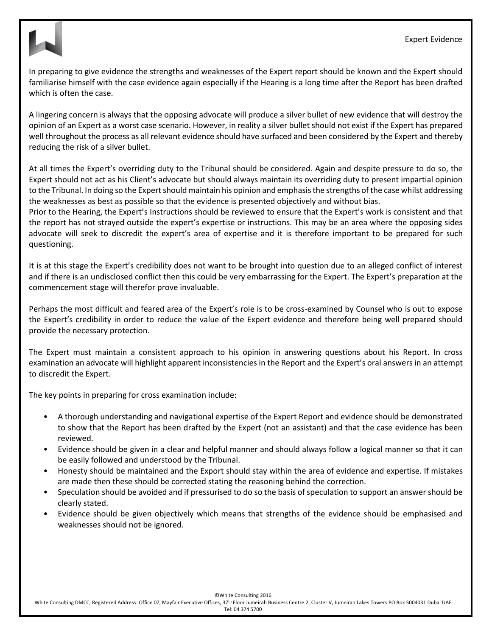

In preparing to give evidence the strengths and weaknesses of the Expert report should be known and the Expert should familiarise himself with the case evidence again especially if the Hearing is a long time after the Report has been drafted which is often the case.

A lingering concern is always that the opposing advocate will produce a silver bullet of new evidence that will destroy the opinion of an Expert as a worst case scenario. However, in reality a silver bullet should not exist if the Expert has prepared well throughout the process as all relevant evidence should have surfaced and been considered by the Expert and thereby reducing the risk of a silver bullet.

At all times the Expert's overriding duty to the Tribunal should be considered. Again and despite pressure to do so, the Expert should not act as his Client's advocate but should always maintain its overriding duty to present impartial opinion to the Tribunal. In doing so the Expert should maintain his opinion and emphasis the strengths of the case whilst addressing the weaknesses as best as possible so that the evidence is presented objectively and without bias.

Prior to the Hearing, the Expert's Instructions should be reviewed to ensure that the Expert's work is consistent and that the report has not strayed outside the expert's expertise or instructions. This may be an area where the opposing sides advocate will seek to discredit the expert's area of expertise and it is therefore important to be prepared for such questioning.

It is at this stage the Expert's credibility does not want to be brought into question due to an alleged conflict of interest and if there is an undisclosed conflict then this could be very embarrassing for the Expert. The Expert's preparation at the commencement stage will therefor prove invaluable.

Perhaps the most difficult and feared area of the Expert's role is to be cross-examined by Counsel who is out to expose the Expert's credibility in order to reduce the value of the Expert evidence and therefore being well prepared should provide the necessary protection.

The Expert must maintain a consistent approach to his opinion in answering questions about his Report. In cross examination an advocate will highlight apparent inconsistencies in the Report and the Expert's oral answers in an attempt to discredit the Expert.

The key points in preparing for cross examination include:

- A thorough understanding and navigational expertise of the Expert Report and evidence should be demonstrated to show that the Report has been drafted by the Expert (not an assistant) and that the case evidence has been reviewed.
- Evidence should be given in a clear and helpful manner and should always follow a logical manner so that it can be easily followed and understood by the Tribunal.
- Honesty should be maintained and the Export should stay within the area of evidence and expertise. If mistakes are made then these should be corrected stating the reasoning behind the correction.
- Speculation should be avoided and if pressurised to do so the basis of speculation to support an answer should be clearly stated.
- Evidence should be given objectively which means that strengths of the evidence should be emphasised and weaknesses should not be ignored.

©White Consulting 2016